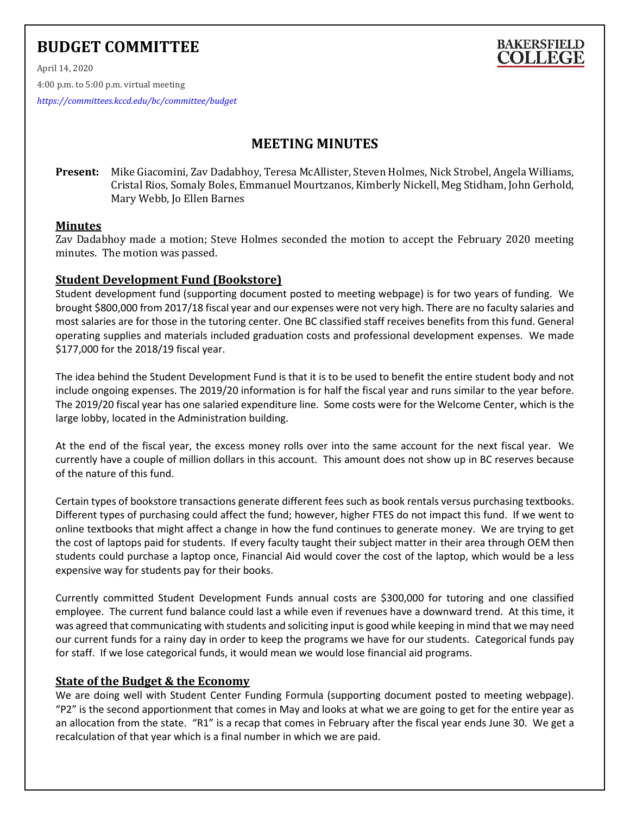# **BUDGET COMMITTEE**



April 14, 2020 4:00 p.m. to 5:00 p.m. virtual meeting

*<https://committees.kccd.edu/bc/committee/budget>*

# **MEETING MINUTES**

**Present:** Mike Giacomini, Zav Dadabhoy, Teresa McAllister, Steven Holmes, Nick Strobel, Angela Williams, Cristal Rios, Somaly Boles, Emmanuel Mourtzanos, Kimberly Nickell, Meg Stidham, John Gerhold, Mary Webb, Jo Ellen Barnes

#### **Minutes**

Zav Dadabhoy made a motion; Steve Holmes seconded the motion to accept the February 2020 meeting minutes. The motion was passed.

#### **Student Development Fund (Bookstore)**

Student development fund (supporting document posted to meeting webpage) is for two years of funding. We brought \$800,000 from 2017/18 fiscal year and our expenses were not very high. There are no faculty salaries and most salaries are for those in the tutoring center. One BC classified staff receives benefits from this fund. General operating supplies and materials included graduation costs and professional development expenses. We made \$177,000 for the 2018/19 fiscal year.

The idea behind the Student Development Fund is that it is to be used to benefit the entire student body and not include ongoing expenses. The 2019/20 information is for half the fiscal year and runs similar to the year before. The 2019/20 fiscal year has one salaried expenditure line. Some costs were for the Welcome Center, which is the large lobby, located in the Administration building.

At the end of the fiscal year, the excess money rolls over into the same account for the next fiscal year. We currently have a couple of million dollars in this account. This amount does not show up in BC reserves because of the nature of this fund.

Certain types of bookstore transactions generate different fees such as book rentals versus purchasing textbooks. Different types of purchasing could affect the fund; however, higher FTES do not impact this fund. If we went to online textbooks that might affect a change in how the fund continues to generate money. We are trying to get the cost of laptops paid for students. If every faculty taught their subject matter in their area through OEM then students could purchase a laptop once, Financial Aid would cover the cost of the laptop, which would be a less expensive way for students pay for their books.

Currently committed Student Development Funds annual costs are \$300,000 for tutoring and one classified employee. The current fund balance could last a while even if revenues have a downward trend. At this time, it was agreed that communicating with students and soliciting input is good while keeping in mind that we may need our current funds for a rainy day in order to keep the programs we have for our students. Categorical funds pay for staff. If we lose categorical funds, it would mean we would lose financial aid programs.

#### **State of the Budget & the Economy**

We are doing well with Student Center Funding Formula (supporting document posted to meeting webpage). "P2" is the second apportionment that comes in May and looks at what we are going to get for the entire year as an allocation from the state. "R1" is a recap that comes in February after the fiscal year ends June 30. We get a recalculation of that year which is a final number in which we are paid.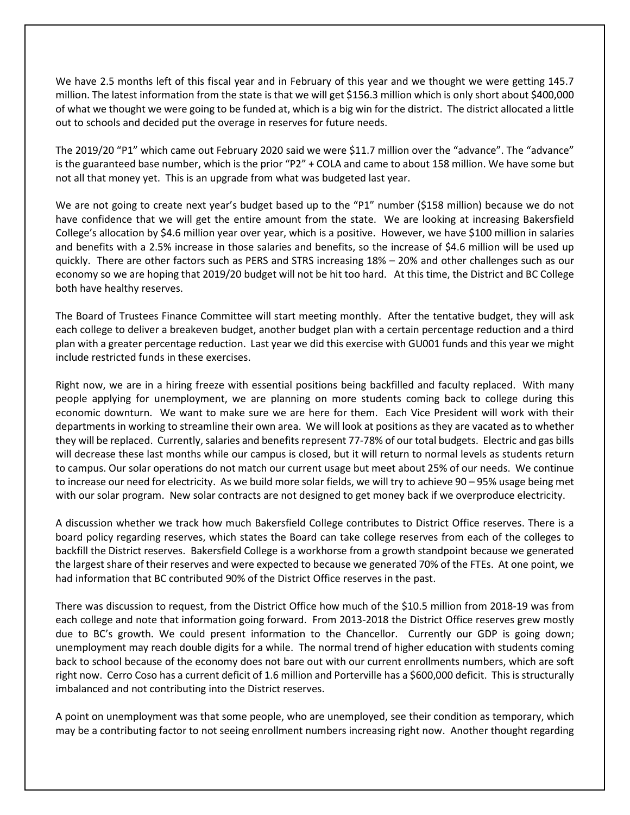We have 2.5 months left of this fiscal year and in February of this year and we thought we were getting 145.7 million. The latest information from the state is that we will get \$156.3 million which is only short about \$400,000 of what we thought we were going to be funded at, which is a big win for the district. The district allocated a little out to schools and decided put the overage in reserves for future needs.

The 2019/20 "P1" which came out February 2020 said we were \$11.7 million over the "advance". The "advance" is the guaranteed base number, which is the prior "P2" + COLA and came to about 158 million. We have some but not all that money yet. This is an upgrade from what was budgeted last year.

We are not going to create next year's budget based up to the "P1" number (\$158 million) because we do not have confidence that we will get the entire amount from the state. We are looking at increasing Bakersfield College's allocation by \$4.6 million year over year, which is a positive. However, we have \$100 million in salaries and benefits with a 2.5% increase in those salaries and benefits, so the increase of \$4.6 million will be used up quickly. There are other factors such as PERS and STRS increasing 18% – 20% and other challenges such as our economy so we are hoping that 2019/20 budget will not be hit too hard. At this time, the District and BC College both have healthy reserves.

The Board of Trustees Finance Committee will start meeting monthly. After the tentative budget, they will ask each college to deliver a breakeven budget, another budget plan with a certain percentage reduction and a third plan with a greater percentage reduction. Last year we did this exercise with GU001 funds and this year we might include restricted funds in these exercises.

Right now, we are in a hiring freeze with essential positions being backfilled and faculty replaced. With many people applying for unemployment, we are planning on more students coming back to college during this economic downturn. We want to make sure we are here for them. Each Vice President will work with their departments in working to streamline their own area. We will look at positions as they are vacated as to whether they will be replaced. Currently, salaries and benefits represent 77-78% of our total budgets. Electric and gas bills will decrease these last months while our campus is closed, but it will return to normal levels as students return to campus. Our solar operations do not match our current usage but meet about 25% of our needs. We continue to increase our need for electricity. As we build more solar fields, we will try to achieve 90 – 95% usage being met with our solar program. New solar contracts are not designed to get money back if we overproduce electricity.

A discussion whether we track how much Bakersfield College contributes to District Office reserves. There is a board policy regarding reserves, which states the Board can take college reserves from each of the colleges to backfill the District reserves. Bakersfield College is a workhorse from a growth standpoint because we generated the largest share of their reserves and were expected to because we generated 70% of the FTEs. At one point, we had information that BC contributed 90% of the District Office reserves in the past.

There was discussion to request, from the District Office how much of the \$10.5 million from 2018-19 was from each college and note that information going forward. From 2013-2018 the District Office reserves grew mostly due to BC's growth. We could present information to the Chancellor. Currently our GDP is going down; unemployment may reach double digits for a while. The normal trend of higher education with students coming back to school because of the economy does not bare out with our current enrollments numbers, which are soft right now. Cerro Coso has a current deficit of 1.6 million and Porterville has a \$600,000 deficit. This is structurally imbalanced and not contributing into the District reserves.

A point on unemployment was that some people, who are unemployed, see their condition as temporary, which may be a contributing factor to not seeing enrollment numbers increasing right now. Another thought regarding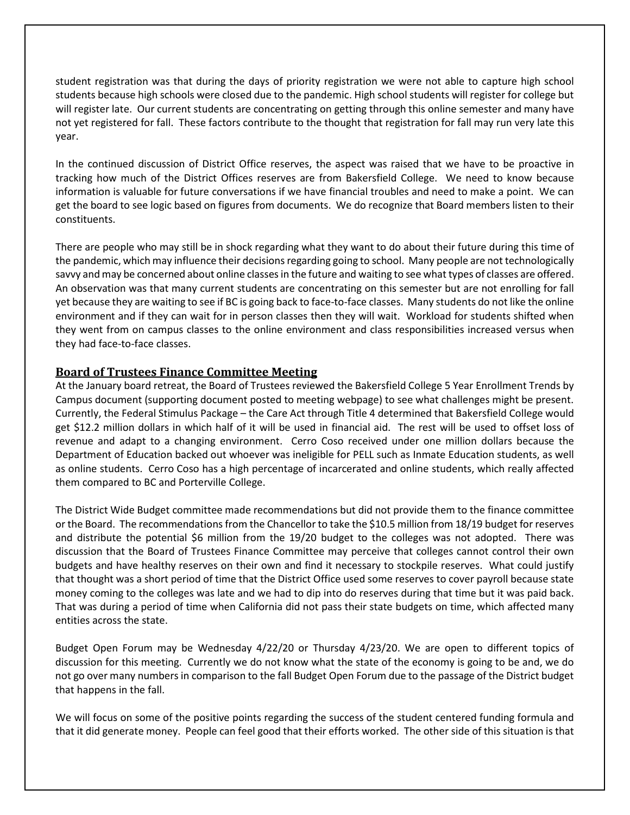student registration was that during the days of priority registration we were not able to capture high school students because high schools were closed due to the pandemic. High school students will register for college but will register late. Our current students are concentrating on getting through this online semester and many have not yet registered for fall. These factors contribute to the thought that registration for fall may run very late this year.

In the continued discussion of District Office reserves, the aspect was raised that we have to be proactive in tracking how much of the District Offices reserves are from Bakersfield College. We need to know because information is valuable for future conversations if we have financial troubles and need to make a point. We can get the board to see logic based on figures from documents. We do recognize that Board members listen to their constituents.

There are people who may still be in shock regarding what they want to do about their future during this time of the pandemic, which may influence their decisions regarding going to school. Many people are not technologically savvy and may be concerned about online classesin the future and waiting to see what types of classes are offered. An observation was that many current students are concentrating on this semester but are not enrolling for fall yet because they are waiting to see if BC is going back to face-to-face classes. Many students do not like the online environment and if they can wait for in person classes then they will wait. Workload for students shifted when they went from on campus classes to the online environment and class responsibilities increased versus when they had face-to-face classes.

## **Board of Trustees Finance Committee Meeting**

At the January board retreat, the Board of Trustees reviewed the Bakersfield College 5 Year Enrollment Trends by Campus document (supporting document posted to meeting webpage) to see what challenges might be present. Currently, the Federal Stimulus Package – the Care Act through Title 4 determined that Bakersfield College would get \$12.2 million dollars in which half of it will be used in financial aid. The rest will be used to offset loss of revenue and adapt to a changing environment. Cerro Coso received under one million dollars because the Department of Education backed out whoever was ineligible for PELL such as Inmate Education students, as well as online students. Cerro Coso has a high percentage of incarcerated and online students, which really affected them compared to BC and Porterville College.

The District Wide Budget committee made recommendations but did not provide them to the finance committee or the Board. The recommendations from the Chancellor to take the \$10.5 million from 18/19 budget for reserves and distribute the potential \$6 million from the 19/20 budget to the colleges was not adopted. There was discussion that the Board of Trustees Finance Committee may perceive that colleges cannot control their own budgets and have healthy reserves on their own and find it necessary to stockpile reserves. What could justify that thought was a short period of time that the District Office used some reserves to cover payroll because state money coming to the colleges was late and we had to dip into do reserves during that time but it was paid back. That was during a period of time when California did not pass their state budgets on time, which affected many entities across the state.

Budget Open Forum may be Wednesday 4/22/20 or Thursday 4/23/20. We are open to different topics of discussion for this meeting. Currently we do not know what the state of the economy is going to be and, we do not go over many numbers in comparison to the fall Budget Open Forum due to the passage of the District budget that happens in the fall.

We will focus on some of the positive points regarding the success of the student centered funding formula and that it did generate money. People can feel good that their efforts worked. The other side of this situation is that